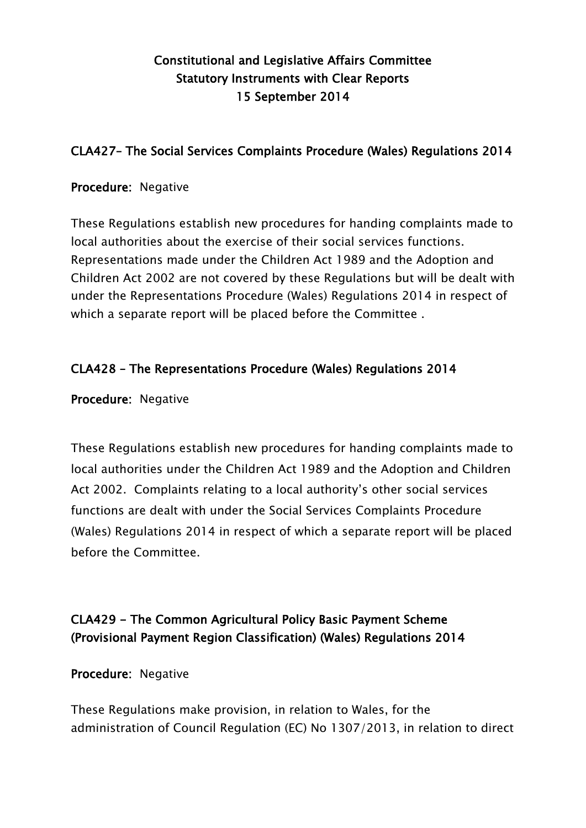# Constitutional and Legislative Affairs Committee Statutory Instruments with Clear Reports 15 September 2014

### CLA427– The Social Services Complaints Procedure (Wales) Regulations 2014

#### Procedure: Negative

These Regulations establish new procedures for handing complaints made to local authorities about the exercise of their social services functions. Representations made under the Children Act 1989 and the Adoption and Children Act 2002 are not covered by these Regulations but will be dealt with under the Representations Procedure (Wales) Regulations 2014 in respect of which a separate report will be placed before the Committee .

### CLA428 – The Representations Procedure (Wales) Regulations 2014

Procedure: Negative

These Regulations establish new procedures for handing complaints made to local authorities under the Children Act 1989 and the Adoption and Children Act 2002. Complaints relating to a local authority's other social services functions are dealt with under the Social Services Complaints Procedure (Wales) Regulations 2014 in respect of which a separate report will be placed before the Committee.

# CLA429 - The Common Agricultural Policy Basic Payment Scheme (Provisional Payment Region Classification) (Wales) Regulations 2014

Procedure: Negative

These Regulations make provision, in relation to Wales, for the administration of Council Regulation (EC) No 1307/2013, in relation to direct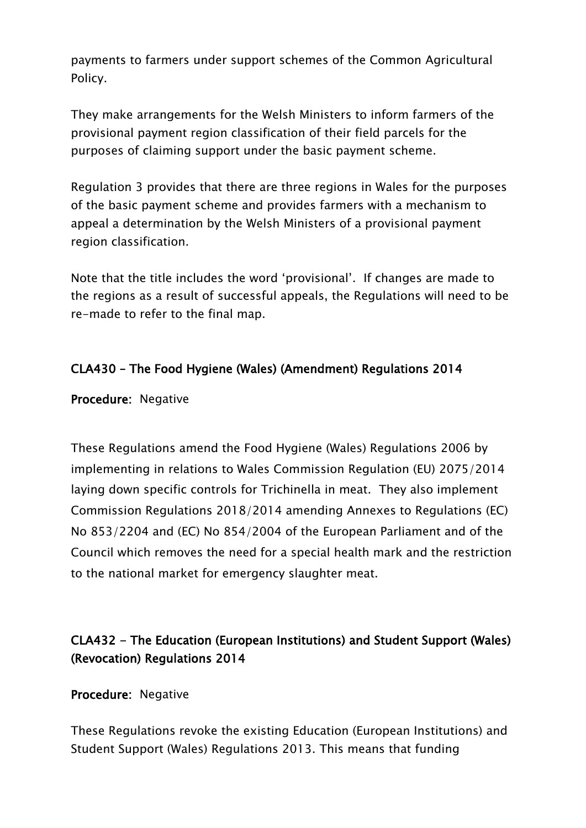payments to farmers under support schemes of the Common Agricultural Policy.

They make arrangements for the Welsh Ministers to inform farmers of the provisional payment region classification of their field parcels for the purposes of claiming support under the basic payment scheme.

Regulation 3 provides that there are three regions in Wales for the purposes of the basic payment scheme and provides farmers with a mechanism to appeal a determination by the Welsh Ministers of a provisional payment region classification.

Note that the title includes the word "provisional". If changes are made to the regions as a result of successful appeals, the Regulations will need to be re-made to refer to the final map.

### CLA430 – The Food Hygiene (Wales) (Amendment) Regulations 2014

Procedure: Negative

These Regulations amend the Food Hygiene (Wales) Regulations 2006 by implementing in relations to Wales Commission Regulation (EU) 2075/2014 laying down specific controls for Trichinella in meat. They also implement Commission Regulations 2018/2014 amending Annexes to Regulations (EC) No 853/2204 and (EC) No 854/2004 of the European Parliament and of the Council which removes the need for a special health mark and the restriction to the national market for emergency slaughter meat.

# CLA432 - The Education (European Institutions) and Student Support (Wales) (Revocation) Regulations 2014

Procedure: Negative

These Regulations revoke the existing Education (European Institutions) and Student Support (Wales) Regulations 2013. This means that funding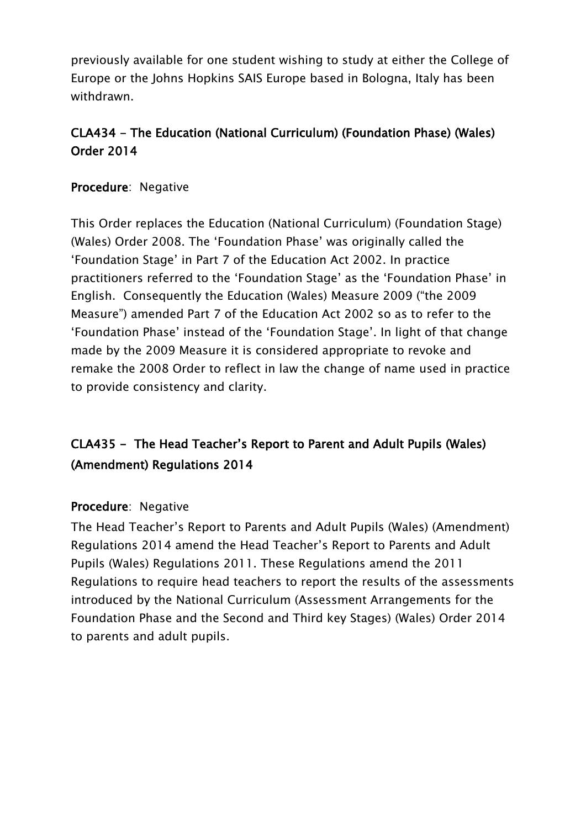previously available for one student wishing to study at either the College of Europe or the Johns Hopkins SAIS Europe based in Bologna, Italy has been withdrawn.

# CLA434 - The Education (National Curriculum) (Foundation Phase) (Wales) Order 2014

### Procedure: Negative

This Order replaces the Education (National Curriculum) (Foundation Stage) (Wales) Order 2008. The "Foundation Phase" was originally called the "Foundation Stage" in Part 7 of the Education Act 2002. In practice practitioners referred to the "Foundation Stage" as the "Foundation Phase" in English. Consequently the Education (Wales) Measure 2009 ("the 2009 Measure") amended Part 7 of the Education Act 2002 so as to refer to the "Foundation Phase" instead of the "Foundation Stage". In light of that change made by the 2009 Measure it is considered appropriate to revoke and remake the 2008 Order to reflect in law the change of name used in practice to provide consistency and clarity.

# CLA435 - The Head Teacher"s Report to Parent and Adult Pupils (Wales) (Amendment) Regulations 2014

#### Procedure: Negative

The Head Teacher"s Report to Parents and Adult Pupils (Wales) (Amendment) Regulations 2014 amend the Head Teacher"s Report to Parents and Adult Pupils (Wales) Regulations 2011. These Regulations amend the 2011 Regulations to require head teachers to report the results of the assessments introduced by the National Curriculum (Assessment Arrangements for the Foundation Phase and the Second and Third key Stages) (Wales) Order 2014 to parents and adult pupils.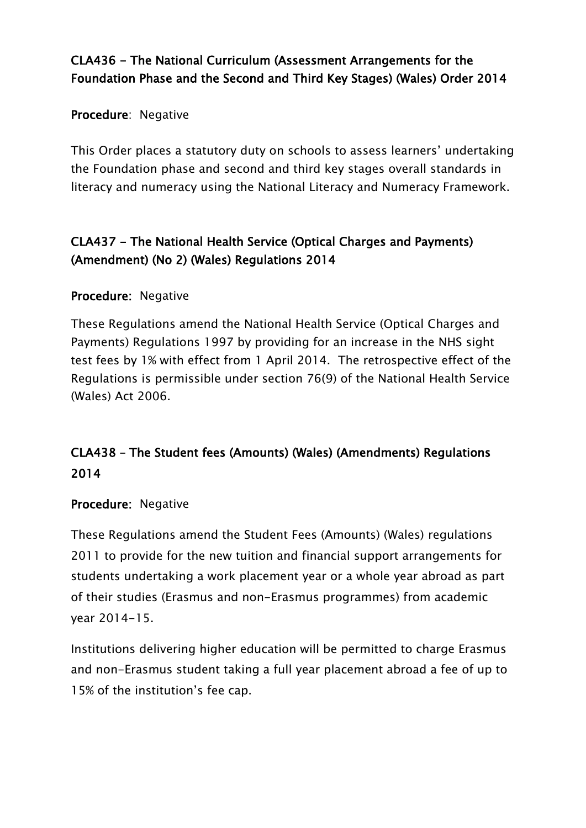# CLA436 - The National Curriculum (Assessment Arrangements for the Foundation Phase and the Second and Third Key Stages) (Wales) Order 2014

#### Procedure: Negative

This Order places a statutory duty on schools to assess learners' undertaking the Foundation phase and second and third key stages overall standards in literacy and numeracy using the National Literacy and Numeracy Framework.

# CLA437 - The National Health Service (Optical Charges and Payments) (Amendment) (No 2) (Wales) Regulations 2014

### Procedure: Negative

These Regulations amend the National Health Service (Optical Charges and Payments) Regulations 1997 by providing for an increase in the NHS sight test fees by 1% with effect from 1 April 2014. The retrospective effect of the Regulations is permissible under section 76(9) of the National Health Service (Wales) Act 2006.

# CLA438 – The Student fees (Amounts) (Wales) (Amendments) Regulations 2014

#### Procedure: Negative

These Regulations amend the Student Fees (Amounts) (Wales) regulations 2011 to provide for the new tuition and financial support arrangements for students undertaking a work placement year or a whole year abroad as part of their studies (Erasmus and non-Erasmus programmes) from academic year 2014-15.

Institutions delivering higher education will be permitted to charge Erasmus and non-Erasmus student taking a full year placement abroad a fee of up to 15% of the institution"s fee cap.